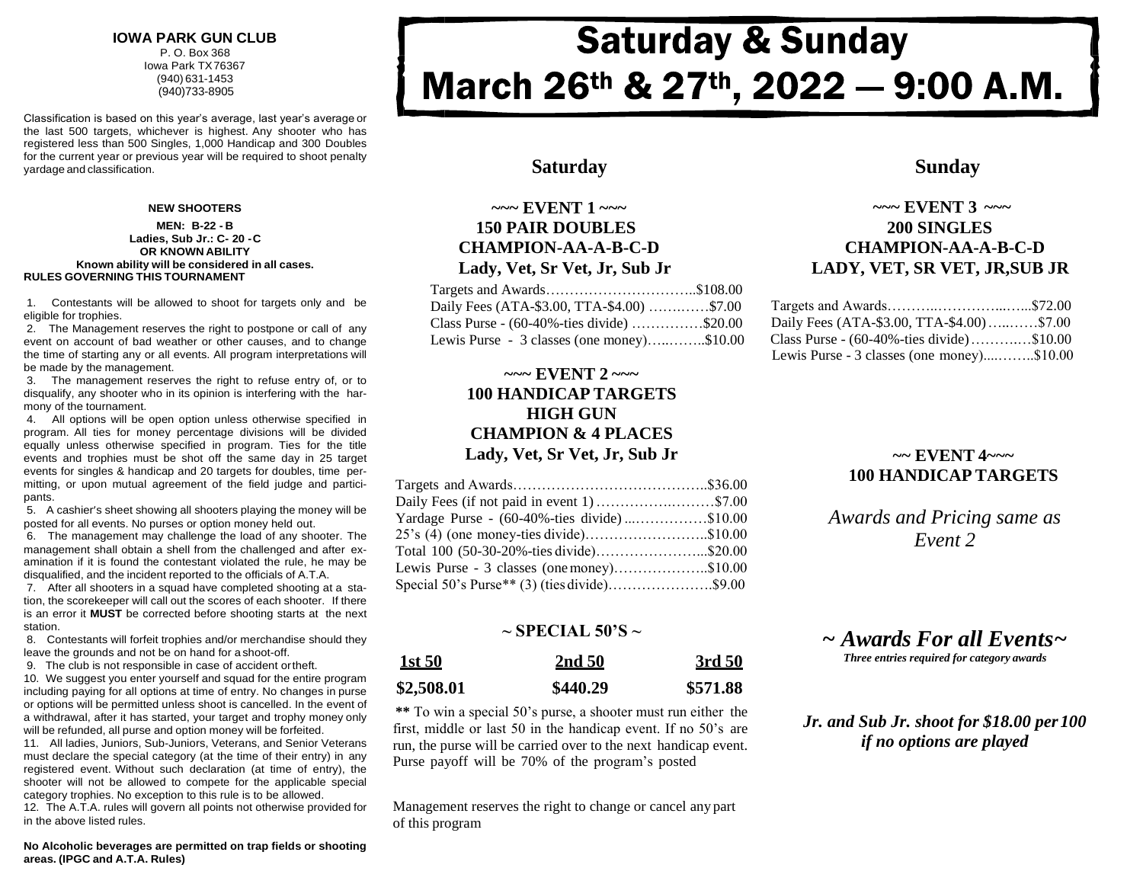#### **IOWA PARK GUN CLUB** P. O. Box 368 Iowa Park TX76367 (940) 631-1453 (940)733-8905

Classification is based on this year's average, last year's average or the last 500 targets, whichever is highest. Any shooter who has registered less than 500 Singles, 1,000 Handicap and 300 Doubles for the current year or previous year will be required to shoot penalty vardage and classification. **Sunday Sunday** and classification. **Sunday Saturday Sunday Sunday** 

#### **NEW SHOOTERS**

#### **MEN: B-22 - B Ladies, Sub Jr.: C- 20 -C OR KNOWN ABILITY Known ability will be considered in all cases. RULES GOVERNING THIS TOURNAMENT**

1. Contestants will be allowed to shoot for targets only and be eligible for trophies.

2. The Management reserves the right to postpone or call of any event on account of bad weather or other causes, and to change the time of starting any or all events. All program interpretations will be made by the management.

3. The management reserves the right to refuse entry of, or to disqualify, any shooter who in its opinion is interfering with the harmony of the tournament.

4. All options will be open option unless otherwise specified in program. All ties for money percentage divisions will be divided equally unless otherwise specified in program. Ties for the title events and trophies must be shot off the same day in 25 target events for singles & handicap and 20 targets for doubles, time permitting, or upon mutual agreement of the field judge and participants.

5. A cashier's sheet showing all shooters playing the money will be posted for all events. No purses or option money held out.

6. The management may challenge the load of any shooter. The management shall obtain a shell from the challenged and after examination if it is found the contestant violated the rule, he may be disqualified, and the incident reported to the officials of A.T.A.

7. After all shooters in a squad have completed shooting at a station, the scorekeeper will call out the scores of each shooter. If there is an error it **MUST** be corrected before shooting starts at the next station.

8. Contestants will forfeit trophies and/or merchandise should they leave the grounds and not be on hand for a shoot-off.

9. The club is not responsible in case of accident ortheft.

10. We suggest you enter yourself and squad for the entire program including paying for all options at time of entry. No changes in purse or options will be permitted unless shoot is cancelled. In the event of a withdrawal, after it has started, your target and trophy money only will be refunded, all purse and option money will be forfeited.

11. All ladies, Juniors, Sub-Juniors, Veterans, and Senior Veterans must declare the special category (at the time of their entry) in any registered event. Without such declaration (at time of entry), the shooter will not be allowed to compete for the applicable special category trophies. No exception to this rule is to be allowed.

12. The A.T.A. rules will govern all points not otherwise provided for in the above listed rules.

**No Alcoholic beverages are permitted on trap fields or shooting areas. (IPGC and A.T.A. Rules)**

# **Saturday & Sunday** March 26th & 27th, 2022 - 9:00 A.M.

#### **~~~ EVENT 1 ~~~ 150 PAIR DOUBLES CHAMPION-AA-A-B-C-D Lady, Vet, Sr Vet, Jr, Sub Jr**

| Targets and Awards\$108.00                             |  |
|--------------------------------------------------------|--|
| Daily Fees (ATA-\$3.00, TTA-\$4.00) \$7.00             |  |
| Class Purse - $(60-40\% - \text{ties divide})$ \$20.00 |  |
| Lewis Purse - 3 classes (one money)\$10.00             |  |

#### **~~~ EVENT 2 ~~~ 100 HANDICAP TARGETS HIGH GUN CHAMPION & 4 PLACES Lady, Vet, Sr Vet, Jr, Sub Jr**

| Daily Fees (if not paid in event 1) \$7.00   |  |
|----------------------------------------------|--|
| Yardage Purse - (60-40%-ties divide)\$10.00  |  |
| $25$ 's (4) (one money-ties divide)\$10.00   |  |
| Total 100 (50-30-20%-ties divide)\$20.00     |  |
| Lewis Purse - 3 classes (one money)\$10.00   |  |
| Special 50's Purse** (3) (ties divide)\$9.00 |  |
|                                              |  |

#### **~ SPECIAL 50'S ~**

| <u>1st 50</u> | 2nd 50   | 3rd 50   |  |
|---------------|----------|----------|--|
| \$2,508.01    | \$440.29 | \$571.88 |  |

**\*\*** To win a special 50's purse, a shooter must run either the first, middle or last 50 in the handicap event. If no 50's are run, the purse will be carried over to the next handicap event. Purse payoff will be 70% of the program's posted

Management reserves the right to change or cancel any part of this program

### **~~~ EVENT 3 ~~~ 200 SINGLES CHAMPION-AA-A-B-C-D LADY, VET, SR VET, JR,SUB JR**

| Daily Fees (ATA-\$3.00, TTA-\$4.00)\$7.00              |  |
|--------------------------------------------------------|--|
| Class Purse - $(60-40\% - \text{ties divide})$ \$10.00 |  |
| Lewis Purse - 3 classes (one money)\$10.00             |  |

### **~~ EVENT 4~~~ 100 HANDICAP TARGETS**

*Awards and Pricing same as Event 2*

## *~ Awards For all Events~*

*Three entries required for category awards*

#### *Jr. and Sub Jr. shoot for \$18.00 per100 if no options are played*